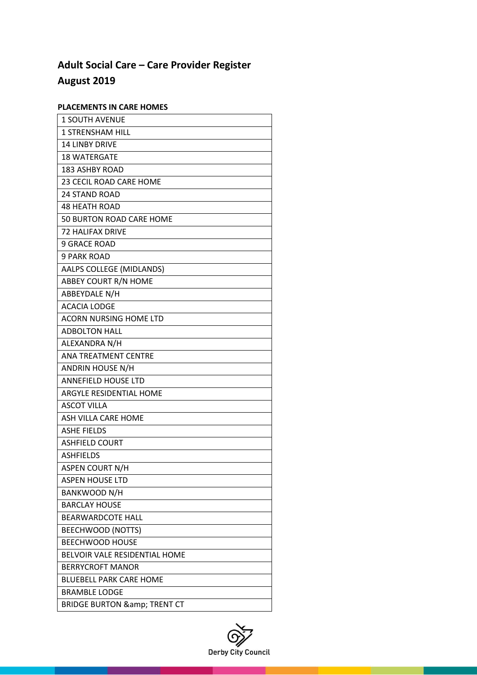# **Adult Social Care – Care Provider Register August 2019**

# **PLACEMENTS IN CARE HOMES**

| 1 SOUTH AVENUE                       |
|--------------------------------------|
| <b>1 STRENSHAM HILL</b>              |
| <b>14 LINBY DRIVE</b>                |
| <b>18 WATERGATE</b>                  |
| <b>183 ASHBY ROAD</b>                |
| 23 CECIL ROAD CARE HOME              |
| <b>24 STAND ROAD</b>                 |
| <b>48 HEATH ROAD</b>                 |
| 50 BURTON ROAD CARE HOME             |
| <b>72 HALIFAX DRIVE</b>              |
| <b>9 GRACE ROAD</b>                  |
| <b>9 PARK ROAD</b>                   |
| AALPS COLLEGE (MIDLANDS)             |
| ABBEY COURT R/N HOME                 |
| ABBEYDALE N/H                        |
| <b>ACACIA LODGE</b>                  |
| <b>ACORN NURSING HOME LTD</b>        |
| <b>ADBOLTON HALL</b>                 |
| ALEXANDRA N/H                        |
| <b>ANA TREATMENT CENTRE</b>          |
| <b>ANDRIN HOUSE N/H</b>              |
| <b>ANNEFIELD HOUSE LTD</b>           |
| <b>ARGYLE RESIDENTIAL HOME</b>       |
| <b>ASCOT VILLA</b>                   |
| ASH VILLA CARE HOME                  |
| <b>ASHE FIELDS</b>                   |
| <b>ASHFIELD COURT</b>                |
| <b>ASHFIELDS</b>                     |
| <b>ASPEN COURT N/H</b>               |
| <b>ASPEN HOUSE LTD</b>               |
| BANKWOOD N/H                         |
| <b>BARCLAY HOUSE</b>                 |
| <b>BEARWARDCOTE HALL</b>             |
| <b>BEECHWOOD (NOTTS)</b>             |
| <b>BEECHWOOD HOUSE</b>               |
| <b>BELVOIR VALE RESIDENTIAL HOME</b> |
| <b>BERRYCROFT MANOR</b>              |
| <b>BLUEBELL PARK CARE HOME</b>       |
| <b>BRAMBLE LODGE</b>                 |
| <b>BRIDGE BURTON &amp; TRENT CT</b>  |

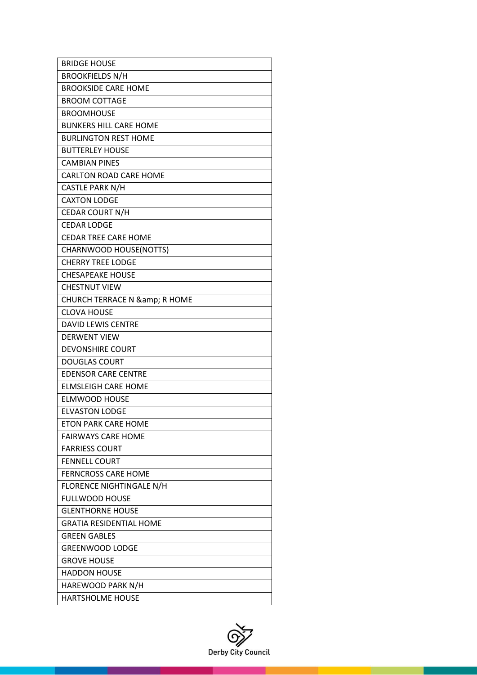| <b>BROOKFIELDS N/H</b>          |
|---------------------------------|
|                                 |
| <b>BROOKSIDE CARE HOME</b>      |
| BROOM COTTAGF                   |
| <b>BROOMHOUSE</b>               |
| <b>BUNKERS HILL CARE HOME</b>   |
| <b>BURLINGTON REST HOME</b>     |
| <b>BUTTERLEY HOUSE</b>          |
| <b>CAMBIAN PINES</b>            |
| <b>CARLTON ROAD CARE HOME</b>   |
| <b>CASTLE PARK N/H</b>          |
| <b>CAXTON LODGE</b>             |
| CEDAR COURT N/H                 |
| <b>CEDAR LODGE</b>              |
| <b>CEDAR TREE CARE HOME</b>     |
| CHARNWOOD HOUSE(NOTTS)          |
| <b>CHERRY TREE LODGE</b>        |
| <b>CHESAPEAKE HOUSE</b>         |
| <b>CHESTNUT VIEW</b>            |
| CHURCH TERRACE N & amp; R HOME  |
| <b>CLOVA HOUSE</b>              |
| <b>DAVID LEWIS CENTRE</b>       |
| <b>DERWENT VIEW</b>             |
| <b>DEVONSHIRE COURT</b>         |
| <b>DOUGLAS COURT</b>            |
| <b>EDENSOR CARE CENTRE</b>      |
| <b>ELMSLEIGH CARE HOME</b>      |
| <b>ELMWOOD HOUSE</b>            |
| <b>ELVASTON LODGE</b>           |
| <b>ETON PARK CARE HOME</b>      |
| <b>FAIRWAYS CARE HOME</b>       |
| <b>FARRIESS COURT</b>           |
| <b>FENNELL COURT</b>            |
| <b>FERNCROSS CARE HOME</b>      |
| <b>FLORENCE NIGHTINGALE N/H</b> |
| <b>FULLWOOD HOUSE</b>           |
| <b>GLENTHORNE HOUSE</b>         |
| <b>GRATIA RESIDENTIAL HOME</b>  |
| <b>GREEN GABLES</b>             |
| <b>GREENWOOD LODGE</b>          |
| <b>GROVE HOUSE</b>              |
| <b>HADDON HOUSE</b>             |
| HAREWOOD PARK N/H               |
| <b>HARTSHOLME HOUSE</b>         |

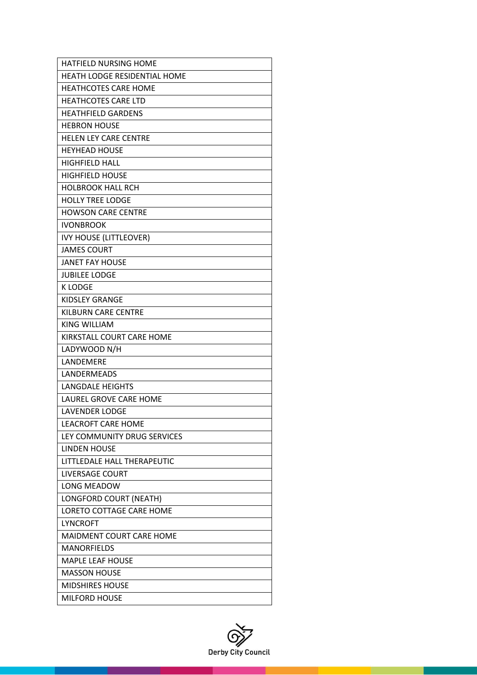| HATFIELD NURSING HOME               |
|-------------------------------------|
| <b>HEATH LODGE RESIDENTIAL HOME</b> |
| <b>HEATHCOTES CARE HOME</b>         |
| <b>HEATHCOTES CARE LTD</b>          |
| <b>HEATHFIELD GARDENS</b>           |
| <b>HEBRON HOUSE</b>                 |
| <b>HELEN LEY CARE CENTRE</b>        |
| <b>HEYHEAD HOUSE</b>                |
| <b>HIGHFIELD HALL</b>               |
| <b>HIGHFIELD HOUSE</b>              |
| <b>HOLBROOK HALL RCH</b>            |
| <b>HOLLY TREE LODGE</b>             |
| <b>HOWSON CARE CENTRE</b>           |
| <b>IVONBROOK</b>                    |
| <b>IVY HOUSE (LITTLEOVER)</b>       |
| <b>JAMES COURT</b>                  |
| <b>JANET FAY HOUSE</b>              |
| <b>JUBILEE LODGE</b>                |
| <b>K LODGE</b>                      |
| <b>KIDSLEY GRANGE</b>               |
| <b>KILBURN CARE CENTRE</b>          |
| <b>KING WILLIAM</b>                 |
| KIRKSTALL COURT CARE HOME           |
| LADYWOOD N/H                        |
| LANDEMERE                           |
| <b>LANDFRMFADS</b>                  |
| <b>LANGDALE HEIGHTS</b>             |
| LAUREL GROVE CARE HOME              |
| <b>LAVENDER LODGE</b>               |
| <b>LEACROFT CARE HOME</b>           |
| LEY COMMUNITY DRUG SERVICES         |
| <b>LINDEN HOUSE</b>                 |
| LITTLEDALE HALL THERAPEUTIC         |
| <b>LIVERSAGE COURT</b>              |
| <b>LONG MEADOW</b>                  |
| LONGFORD COURT (NEATH)              |
| <b>LORETO COTTAGE CARE HOME</b>     |
| <b>LYNCROFT</b>                     |
| MAIDMENT COURT CARE HOME            |
| <b>MANORFIELDS</b>                  |
| <b>MAPLE LEAF HOUSE</b>             |
| <b>MASSON HOUSE</b>                 |
| <b>MIDSHIRES HOUSE</b>              |
| <b>MILFORD HOUSE</b>                |

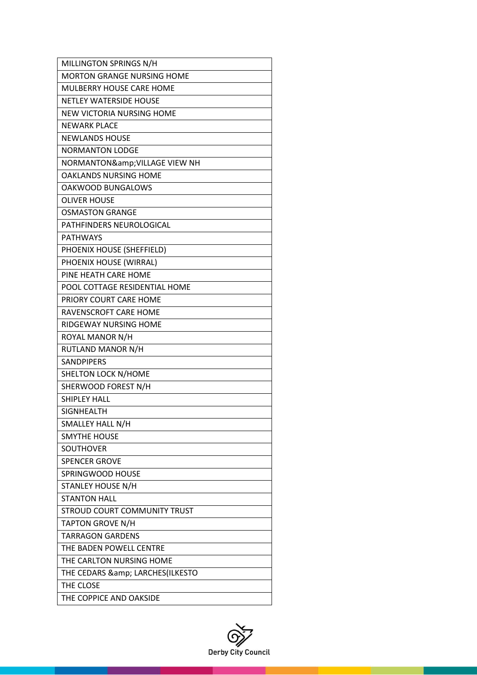| MILLINGTON SPRINGS N/H            |
|-----------------------------------|
| <b>MORTON GRANGE NURSING HOME</b> |
| <b>MULBERRY HOUSE CARE HOME</b>   |
| <b>NETLEY WATERSIDE HOUSE</b>     |
| NEW VICTORIA NURSING HOME         |
| <b>NEWARK PLACE</b>               |
| <b>NEWLANDS HOUSE</b>             |
| <b>NORMANTON LODGE</b>            |
| NORMANTON& VILLAGE VIEW NH        |
| <b>OAKLANDS NURSING HOME</b>      |
| OAKWOOD BUNGALOWS                 |
| <b>OLIVER HOUSE</b>               |
| <b>OSMASTON GRANGE</b>            |
| <b>PATHFINDERS NEUROLOGICAL</b>   |
| <b>PATHWAYS</b>                   |
| PHOENIX HOUSE (SHEFFIELD)         |
| PHOENIX HOUSE (WIRRAL)            |
| PINE HEATH CARE HOME              |
| POOL COTTAGE RESIDENTIAL HOME     |
| PRIORY COURT CARE HOME            |
| RAVENSCROFT CARE HOME             |
| RIDGEWAY NURSING HOME             |
| ROYAL MANOR N/H                   |
| RUTLAND MANOR N/H                 |
| <b>SANDPIPERS</b>                 |
| <b>SHELTON LOCK N/HOME</b>        |
| SHERWOOD FOREST N/H               |
| <b>SHIPLEY HALL</b>               |
| <b>SIGNHEALTH</b>                 |
| SMALLEY HALL N/H                  |
| <b>SMYTHE HOUSE</b>               |
| SOUTHOVER                         |
| <b>SPENCER GROVE</b>              |
| SPRINGWOOD HOUSE                  |
| STANLEY HOUSE N/H                 |
| <b>STANTON HALL</b>               |
| STROUD COURT COMMUNITY TRUST      |
| <b>TAPTON GROVE N/H</b>           |
| <b>TARRAGON GARDENS</b>           |
| THE BADEN POWELL CENTRE           |
| THE CARLTON NURSING HOME          |
| THE CEDARS & LARCHES(ILKESTO      |
| THE CLOSE                         |
| THE COPPICE AND OAKSIDE           |

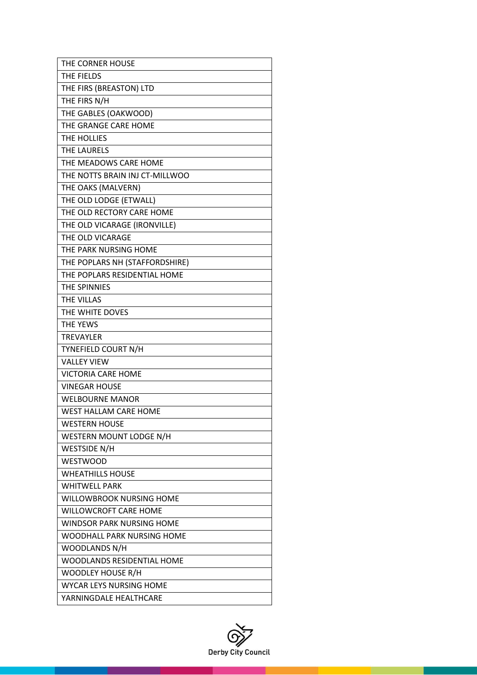| THE CORNER HOUSE                  |
|-----------------------------------|
| THE FIELDS                        |
| THE FIRS (BREASTON) LTD           |
| THE FIRS N/H                      |
| THE GABLES (OAKWOOD)              |
| THE GRANGE CARE HOME              |
| THE HOLLIES                       |
| <b>THE LAURELS</b>                |
| THE MEADOWS CARE HOME             |
| THE NOTTS BRAIN INJ CT-MILLWOO    |
| THE OAKS (MALVERN)                |
| THE OLD LODGE (ETWALL)            |
| THE OLD RECTORY CARE HOME         |
| THE OLD VICARAGE (IRONVILLE)      |
| THE OLD VICARAGE                  |
| THE PARK NURSING HOME             |
| THE POPLARS NH (STAFFORDSHIRE)    |
| THE POPLARS RESIDENTIAL HOME      |
| THE SPINNIES                      |
| THE VILLAS                        |
| THE WHITE DOVES                   |
| THE YEWS                          |
| <b>TREVAYLER</b>                  |
| TYNEFIELD COURT N/H               |
| <b>VALLEY VIEW</b>                |
| <b>VICTORIA CARE HOME</b>         |
| <b>VINEGAR HOUSE</b>              |
| <b>WELBOURNE MANOR</b>            |
| <b>WEST HALLAM CARE HOME</b>      |
| <b>WESTERN HOUSE</b>              |
| WESTERN MOUNT LODGE N/H           |
| WESTSIDE N/H                      |
| <b>WESTWOOD</b>                   |
| <b>WHEATHILLS HOUSE</b>           |
| <b>WHITWELL PARK</b>              |
| <b>WILLOWBROOK NURSING HOME</b>   |
| <b>WILLOWCROFT CARE HOME</b>      |
| <b>WINDSOR PARK NURSING HOME</b>  |
| WOODHALL PARK NURSING HOME        |
| WOODLANDS N/H                     |
| <b>WOODLANDS RESIDENTIAL HOME</b> |
| <b>WOODLEY HOUSE R/H</b>          |
| <b>WYCAR LEYS NURSING HOME</b>    |
| YARNINGDALE HEALTHCARE            |

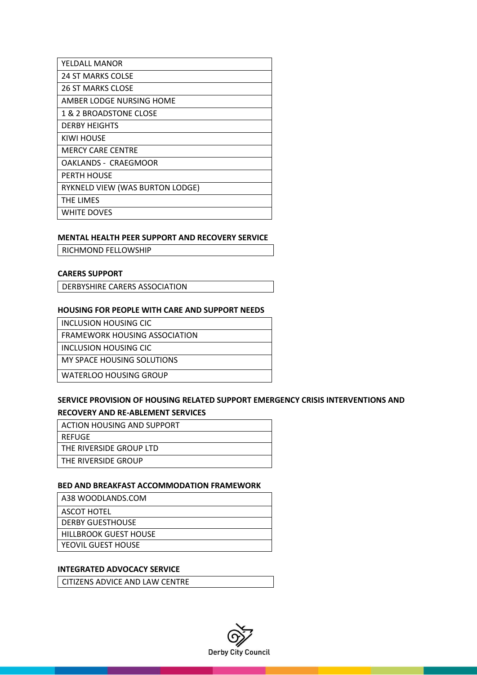| YELDALL MANOR                   |
|---------------------------------|
| 24 ST MARKS COLSE               |
| <b>26 ST MARKS CLOSE</b>        |
| AMBER LODGE NURSING HOME        |
| 1 & 2 BROADSTONE CLOSE          |
| <b>DERBY HEIGHTS</b>            |
| KIWI HOUSE                      |
| <b>MERCY CARE CENTRE</b>        |
| OAKLANDS - CRAEGMOOR            |
| <b>PERTH HOUSE</b>              |
| RYKNELD VIEW (WAS BURTON LODGE) |
| <b>THE LIMES</b>                |
| WHITE DOVES                     |

#### **MENTAL HEALTH PEER SUPPORT AND RECOVERY SERVICE**

RICHMOND FELLOWSHIP

### **CARERS SUPPORT**

DERBYSHIRE CARERS ASSOCIATION

#### **HOUSING FOR PEOPLE WITH CARE AND SUPPORT NEEDS**

INCLUSION HOUSING CIC

FRAMEWORK HOUSING ASSOCIATION

INCLUSION HOUSING CIC

MY SPACE HOUSING SOLUTIONS

WATERLOO HOUSING GROUP

## **SERVICE PROVISION OF HOUSING RELATED SUPPORT EMERGENCY CRISIS INTERVENTIONS AND RECOVERY AND RE-ABLEMENT SERVICES**

#### **BED AND BREAKFAST ACCOMMODATION FRAMEWORK**

| A38 WOODLANDS.COM            |
|------------------------------|
| ASCOT HOTEL                  |
| <b>DERBY GUESTHOUSE</b>      |
| <b>HILLBROOK GUEST HOUSE</b> |
| YFOVIL GUFST HOUSE           |

#### **INTEGRATED ADVOCACY SERVICE**

CITIZENS ADVICE AND LAW CENTRE

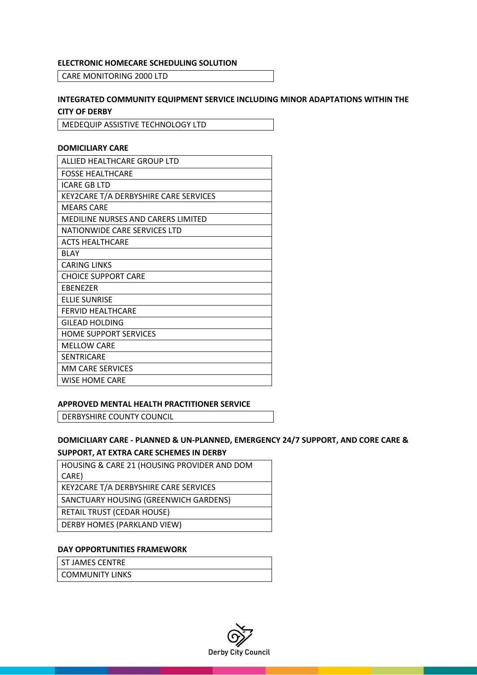#### **ELECTRONIC HOMECARE SCHEDULING SOLUTION**

CARE MONITORING 2000 LTD

## **INTEGRATED COMMUNITY EQUIPMENT SERVICE INCLUDING MINOR ADAPTATIONS WITHIN THE CITY OF DERBY**

MEDEQUIP ASSISTIVE TECHNOLOGY LTD

## **DOMICILIARY CARE**

| ALLIED HEALTHCARE GROUP LTD               |
|-------------------------------------------|
| <b>FOSSE HEALTHCARE</b>                   |
| <b>ICARE GB LTD</b>                       |
| KEY2CARE T/A DERBYSHIRE CARE SERVICES     |
| <b>MEARS CARE</b>                         |
| <b>MEDILINE NURSES AND CARERS LIMITED</b> |
| NATIONWIDE CARE SERVICES LTD              |
| <b>ACTS HEALTHCARE</b>                    |
| <b>BLAY</b>                               |
| <b>CARING LINKS</b>                       |
| <b>CHOICE SUPPORT CARE</b>                |
| <b>EBENEZER</b>                           |
| <b>ELLIE SUNRISE</b>                      |
| <b>FERVID HEALTHCARE</b>                  |
| <b>GILEAD HOLDING</b>                     |
| <b>HOME SUPPORT SERVICES</b>              |
| <b>MELLOW CARE</b>                        |
| <b>SENTRICARE</b>                         |
| <b>MM CARE SERVICES</b>                   |
| <b>WISE HOME CARE</b>                     |

#### **APPROVED MENTAL HEALTH PRACTITIONER SERVICE**

DERBYSHIRE COUNTY COUNCIL

# **DOMICILIARY CARE - PLANNED & UN-PLANNED, EMERGENCY 24/7 SUPPORT, AND CORE CARE & SUPPORT, AT EXTRA CARE SCHEMES IN DERBY**

| HOUSING & CARE 21 (HOUSING PROVIDER AND DOM |
|---------------------------------------------|
| CARE)                                       |
| KEY2CARE T/A DERBYSHIRE CARE SERVICES       |
| SANCTUARY HOUSING (GREENWICH GARDENS)       |
| <b>RETAIL TRUST (CEDAR HOUSE)</b>           |
| DERBY HOMES (PARKLAND VIEW)                 |
|                                             |

## **DAY OPPORTUNITIES FRAMEWORK**

ST JAMES CENTRE

COMMUNITY LINKS